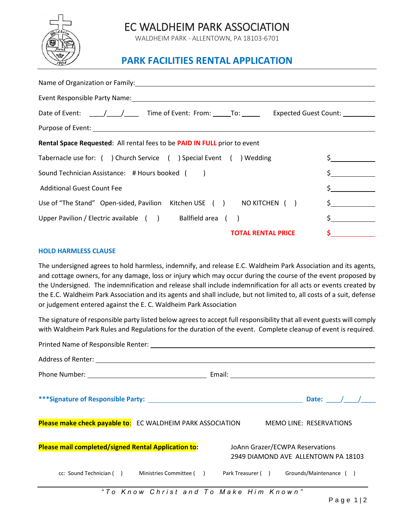

## EC WALDHEIM PARK ASSOCIATION

WALDHEIM PARK - ALLENTOWN, PA 18103-6701

## **PARK FACILITIES RENTAL APPLICATION**

| Date of Event: \[\statsqrt{\bmg n_{\bmg n_{\bmg n_{\bmg n_{\bmg n_{\bmg n_{\bmg n_{\bmg n_{\bmg n_{\bmg n_{\bmg n_{\bmg n_{\bmg n_{\bmg n_{\bmg n_{\bmg n_{\bmg n_{\bmg n_{\bmg n_{\bmg n_{\bmg n_{\bmg n_{\bmg n_{\bmg n_{\bm |    |  |  |
|--------------------------------------------------------------------------------------------------------------------------------------------------------------------------------------------------------------------------------|----|--|--|
|                                                                                                                                                                                                                                |    |  |  |
| <b>Rental Space Requested:</b> All rental fees to be <b>PAID IN FULL</b> prior to event                                                                                                                                        |    |  |  |
| Tabernacle use for: () Church Service () Special Event () Wedding                                                                                                                                                              |    |  |  |
| Sound Technician Assistance: # Hours booked ()                                                                                                                                                                                 |    |  |  |
| <b>Additional Guest Count Fee</b>                                                                                                                                                                                              |    |  |  |
| Use of "The Stand" Open-sided, Pavilion Kitchen USE () NO KITCHEN ()                                                                                                                                                           |    |  |  |
| Upper Pavilion / Electric available () Ballfield area ()                                                                                                                                                                       | \$ |  |  |
| <b>TOTAL RENTAL PRICE</b>                                                                                                                                                                                                      |    |  |  |

## **HOLD HARMLESS CLAUSE**

The undersigned agrees to hold harmless, indemnify, and release E.C. Waldheim Park Association and its agents, and cottage owners, for any damage, loss or injury which may occur during the course of the event proposed by the Undersigned. The indemnification and release shall include indemnification for all acts or events created by the E.C. Waldheim Park Association and its agents and shall include, but not limited to, all costs of a suit, defense or judgement entered against the E. C. Waldheim Park Association

The signature of responsible party listed below agrees to accept full responsibility that all event guests will comply with Waldheim Park Rules and Regulations for the duration of the event. Complete cleanup of event is required.

|                                                                                          |                                                                                                                               |  |  | Date: $/$ / |  |  |
|------------------------------------------------------------------------------------------|-------------------------------------------------------------------------------------------------------------------------------|--|--|-------------|--|--|
| Please make check payable to: EC WALDHEIM PARK ASSOCIATION MEMO LINE: RESERVATIONS       |                                                                                                                               |  |  |             |  |  |
|                                                                                          | Please mail completed/signed Rental Application to:<br>JoAnn Grazer/ECWPA Reservations<br>2949 DIAMOND AVE ALLENTOWN PA 18103 |  |  |             |  |  |
| cc: Sound Technician () Ministries Committee () Park Treasurer () Grounds/Maintenance () |                                                                                                                               |  |  |             |  |  |
|                                                                                          | "To Know Christ and To Make Him Known"                                                                                        |  |  |             |  |  |